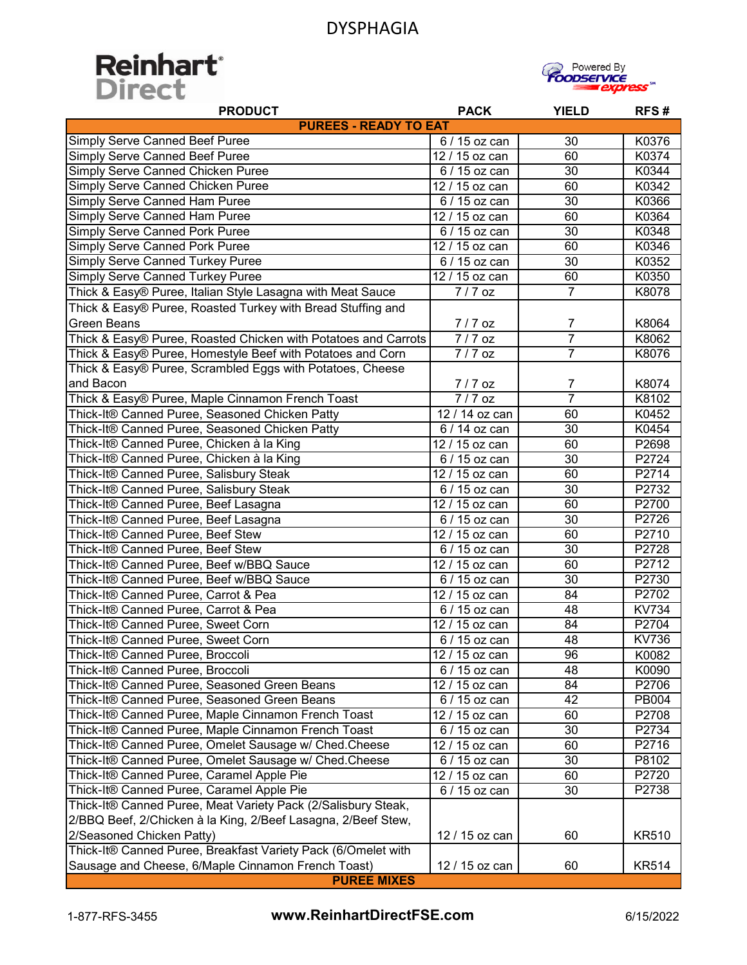



| <b>PRODUCT</b>                                                 | <b>PACK</b>                 | <b>YIELD</b>    | RFS#         |
|----------------------------------------------------------------|-----------------------------|-----------------|--------------|
| <b>PUREES - READY TO EAT</b>                                   |                             |                 |              |
| <b>Simply Serve Canned Beef Puree</b>                          | 6 / 15 oz can               | 30              | K0376        |
| Simply Serve Canned Beef Puree                                 | 12 / 15 oz can              | 60              | K0374        |
| Simply Serve Canned Chicken Puree                              | 6 / 15 oz can               | 30              | K0344        |
| Simply Serve Canned Chicken Puree                              | 12 / 15 oz can              | 60              | K0342        |
| Simply Serve Canned Ham Puree                                  | $6/15$ oz can               | $\overline{30}$ | K0366        |
| Simply Serve Canned Ham Puree                                  | 12 / 15 oz can              | 60              | K0364        |
| <b>Simply Serve Canned Pork Puree</b>                          | 6 / 15 oz can               | 30              | K0348        |
| <b>Simply Serve Canned Pork Puree</b>                          | 12 / 15 oz can              | 60              | K0346        |
| <b>Simply Serve Canned Turkey Puree</b>                        | 6 / 15 oz can               | $\overline{30}$ | K0352        |
| <b>Simply Serve Canned Turkey Puree</b>                        | 12 / 15 oz can              | 60              | K0350        |
| Thick & Easy® Puree, Italian Style Lasagna with Meat Sauce     | 7/7 oz                      | $\overline{7}$  | K8078        |
| Thick & Easy® Puree, Roasted Turkey with Bread Stuffing and    |                             |                 |              |
| <b>Green Beans</b>                                             | $7/7$ oz                    | 7               | K8064        |
| Thick & Easy® Puree, Roasted Chicken with Potatoes and Carrots | $7/7$ oz                    | $\overline{7}$  | K8062        |
| Thick & Easy® Puree, Homestyle Beef with Potatoes and Corn     | $7/7$ oz                    | $\overline{7}$  | K8076        |
| Thick & Easy® Puree, Scrambled Eggs with Potatoes, Cheese      |                             |                 |              |
| and Bacon                                                      | 7/7 oz                      | $\overline{7}$  | K8074        |
| Thick & Easy® Puree, Maple Cinnamon French Toast               | $7/7$ oz                    | $\overline{7}$  | K8102        |
| Thick-It® Canned Puree, Seasoned Chicken Patty                 | $\overline{127}$ 14 oz can  | 60              | K0452        |
| Thick-It® Canned Puree, Seasoned Chicken Patty                 | 6 / 14 oz can               | 30              | K0454        |
| Thick-It® Canned Puree, Chicken à la King                      | $\overline{127}$ 15 oz can  | 60              | P2698        |
| Thick-It® Canned Puree, Chicken à la King                      | $\overline{6}$ / 15 oz can  | 30              | P2724        |
| Thick-It® Canned Puree, Salisbury Steak                        | 12 / 15 oz can              | 60              | P2714        |
| Thick-It® Canned Puree, Salisbury Steak                        | 6 / 15 oz can               | 30              | P2732        |
| Thick-It® Canned Puree, Beef Lasagna                           | 12 / 15 oz can              | 60              | P2700        |
| Thick-It® Canned Puree, Beef Lasagna                           | 6 / 15 oz can               | 30              | P2726        |
| Thick-It® Canned Puree, Beef Stew                              | 12 / 15 oz can              | 60              | P2710        |
| Thick-It® Canned Puree, Beef Stew                              | 6 / 15 oz can               | 30              | P2728        |
| Thick-It® Canned Puree, Beef w/BBQ Sauce                       | 12 / 15 oz can              | 60              | P2712        |
| Thick-It® Canned Puree, Beef w/BBQ Sauce                       | 6 / 15 oz can               | 30              | P2730        |
| Thick-It® Canned Puree, Carrot & Pea                           | 12 / 15 oz can              | 84              | P2702        |
| Thick-It® Canned Puree, Carrot & Pea                           | 6 / 15 oz can               | 48              | <b>KV734</b> |
| Thick-It® Canned Puree, Sweet Corn                             | $\overline{12}$ / 15 oz can | 84              | P2704        |
| Thick-It® Canned Puree, Sweet Corn                             | 6 / 15 oz can               | 48              | <b>KV736</b> |
| Thick-It® Canned Puree, Broccoli                               | 12 / 15 oz can              | 96              | K0082        |
| Thick-It® Canned Puree, Broccoli                               | 6 / 15 oz can               | 48              | K0090        |
| Thick-It® Canned Puree, Seasoned Green Beans                   | $\overline{12}$ / 15 oz can | 84              | P2706        |
| Thick-It® Canned Puree, Seasoned Green Beans                   | 6 / 15 oz can               | 42              | PB004        |
| Thick-It® Canned Puree, Maple Cinnamon French Toast            | $\overline{12}$ / 15 oz can | 60              | P2708        |
| Thick-It® Canned Puree, Maple Cinnamon French Toast            | 6 / 15 oz can               | 30              | P2734        |
| Thick-It® Canned Puree, Omelet Sausage w/ Ched.Cheese          | 12 / 15 oz can              | 60              | P2716        |
| Thick-It® Canned Puree, Omelet Sausage w/ Ched.Cheese          | 6 / 15 oz can               | 30              | P8102        |
| Thick-It® Canned Puree, Caramel Apple Pie                      | 12 / 15 oz can              | 60              | P2720        |
| Thick-It® Canned Puree, Caramel Apple Pie                      | 6 / 15 oz can               | 30              | P2738        |
| Thick-It® Canned Puree, Meat Variety Pack (2/Salisbury Steak,  |                             |                 |              |
| 2/BBQ Beef, 2/Chicken à la King, 2/Beef Lasagna, 2/Beef Stew,  |                             |                 |              |
| 2/Seasoned Chicken Patty)                                      | 12 / 15 oz can              | 60              | <b>KR510</b> |
| Thick-It® Canned Puree, Breakfast Variety Pack (6/Omelet with  |                             |                 |              |
| Sausage and Cheese, 6/Maple Cinnamon French Toast)             | 12 / 15 oz can              | 60              | <b>KR514</b> |
| <b>PUREE MIXES</b>                                             |                             |                 |              |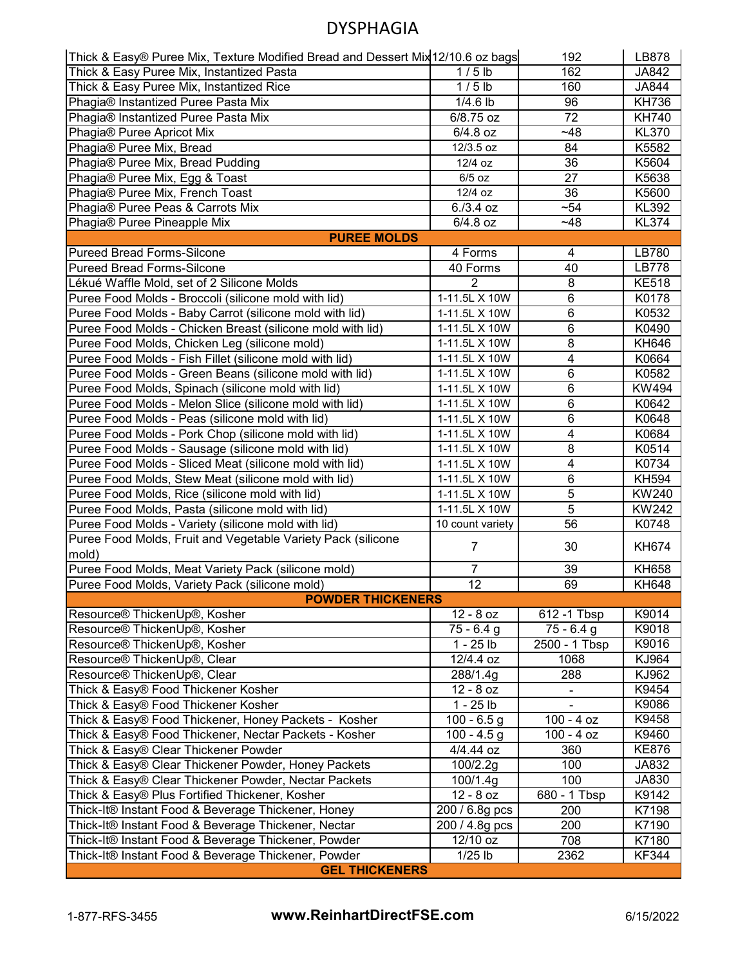| Thick & Easy® Puree Mix, Texture Modified Bread and Dessert Mix 12/10.6 oz bags |                  | 192                     | LB878        |  |
|---------------------------------------------------------------------------------|------------------|-------------------------|--------------|--|
| Thick & Easy Puree Mix, Instantized Pasta                                       | $1/5$ lb         | 162                     | JA842        |  |
| Thick & Easy Puree Mix, Instantized Rice                                        | $1/5$ lb         | 160                     | JA844        |  |
| Phagia® Instantized Puree Pasta Mix                                             | $1/4.6$ lb       | 96                      | <b>KH736</b> |  |
| Phagia® Instantized Puree Pasta Mix                                             | 6/8.75 oz        | $\overline{72}$         | <b>KH740</b> |  |
| Phagia® Puree Apricot Mix                                                       | $6/4.8$ oz       | $-48$                   | <b>KL370</b> |  |
| Phagia® Puree Mix, Bread                                                        | 12/3.5 oz        | 84                      | K5582        |  |
| Phagia® Puree Mix, Bread Pudding                                                | 12/4 oz          | 36                      | K5604        |  |
| Phagia® Puree Mix, Egg & Toast                                                  | $6/5$ oz         | 27                      | K5638        |  |
| Phagia® Puree Mix, French Toast                                                 | 12/4 oz          | 36                      | K5600        |  |
| Phagia® Puree Peas & Carrots Mix                                                | $6. / 3.4$ oz    | $-54$                   | <b>KL392</b> |  |
| Phagia® Puree Pineapple Mix                                                     | 6/4.8 oz         | ~148                    | <b>KL374</b> |  |
| <b>PUREE MOLDS</b>                                                              |                  |                         |              |  |
| <b>Pureed Bread Forms-Silcone</b>                                               | 4 Forms          | 4                       | LB780        |  |
| <b>Pureed Bread Forms-Silcone</b>                                               | 40 Forms         | 40                      | LB778        |  |
| Lékué Waffle Mold, set of 2 Silicone Molds                                      | $\overline{2}$   | $\overline{8}$          | <b>KE518</b> |  |
| Puree Food Molds - Broccoli (silicone mold with lid)                            | 1-11.5L X 10W    | 6                       | K0178        |  |
| Puree Food Molds - Baby Carrot (silicone mold with lid)                         | 1-11.5L X 10W    | 6                       | K0532        |  |
| Puree Food Molds - Chicken Breast (silicone mold with lid)                      | 1-11.5L X 10W    | $6\phantom{1}6$         | K0490        |  |
| Puree Food Molds, Chicken Leg (silicone mold)                                   | 1-11.5L X 10W    | 8                       | KH646        |  |
| Puree Food Molds - Fish Fillet (silicone mold with lid)                         | 1-11.5L X 10W    | $\overline{\mathbf{4}}$ | K0664        |  |
| Puree Food Molds - Green Beans (silicone mold with lid)                         | 1-11.5L X 10W    | 6                       | K0582        |  |
| Puree Food Molds, Spinach (silicone mold with lid)                              | 1-11.5L X 10W    | 6                       | KW494        |  |
| Puree Food Molds - Melon Slice (silicone mold with lid)                         | 1-11.5L X 10W    | 6                       | K0642        |  |
| Puree Food Molds - Peas (silicone mold with lid)                                | 1-11.5L X 10W    | $\overline{6}$          | K0648        |  |
| Puree Food Molds - Pork Chop (silicone mold with lid)                           | 1-11.5L X 10W    | 4                       | K0684        |  |
| Puree Food Molds - Sausage (silicone mold with lid)                             | 1-11.5L X 10W    | 8                       | K0514        |  |
| Puree Food Molds - Sliced Meat (silicone mold with lid)                         | 1-11.5L X 10W    | $\overline{4}$          | K0734        |  |
| Puree Food Molds, Stew Meat (silicone mold with lid)                            | 1-11.5L X 10W    | $\overline{6}$          | <b>KH594</b> |  |
| Puree Food Molds, Rice (silicone mold with lid)                                 | 1-11.5L X 10W    | $\overline{5}$          | KW240        |  |
| Puree Food Molds, Pasta (silicone mold with lid)                                | 1-11.5L X 10W    | $\overline{5}$          | KW242        |  |
| Puree Food Molds - Variety (silicone mold with lid)                             | 10 count variety | 56                      | K0748        |  |
| Puree Food Molds, Fruit and Vegetable Variety Pack (silicone                    |                  |                         |              |  |
| mold)                                                                           | $\overline{7}$   | 30                      | KH674        |  |
| Puree Food Molds, Meat Variety Pack (silicone mold)                             | 7                | 39                      | <b>KH658</b> |  |
| Puree Food Molds, Variety Pack (silicone mold)                                  | $\overline{12}$  | 69                      | <b>KH648</b> |  |
| <b>POWDER THICKENERS</b>                                                        |                  |                         |              |  |
| Resource <sup>®</sup> ThickenUp <sup>®</sup> , Kosher                           | $12 - 8$ oz      | 612 -1 Tbsp             | K9014        |  |
| Resource® ThickenUp®, Kosher                                                    | $75 - 6.4$ g     | $75 - 6.4$ g            | K9018        |  |
| Resource <sup>®</sup> ThickenUp <sup>®</sup> , Kosher                           | $1 - 25$ lb      | 2500 - 1 Tbsp           | K9016        |  |
| Resource <sup>®</sup> ThickenUp <sup>®</sup> , Clear                            | 12/4.4 oz        | 1068                    | KJ964        |  |
| Resource <sup>®</sup> ThickenUp <sup>®</sup> , Clear                            | 288/1.4g         | 288                     | KJ962        |  |
| Thick & Easy® Food Thickener Kosher                                             | $12 - 8$ oz      |                         | K9454        |  |
| Thick & Easy® Food Thickener Kosher                                             | $1 - 25$ lb      |                         | K9086        |  |
| Thick & Easy® Food Thickener, Honey Packets - Kosher                            | $100 - 6.5$ g    | $100 - 4$ oz            | K9458        |  |
| Thick & Easy® Food Thickener, Nectar Packets - Kosher                           | $100 - 4.5$ g    | $100 - 4 oz$            | K9460        |  |
| Thick & Easy® Clear Thickener Powder                                            | 4/4.44 oz        | 360                     | <b>KE876</b> |  |
| Thick & Easy® Clear Thickener Powder, Honey Packets                             | 100/2.2g         | 100                     | JA832        |  |
| Thick & Easy® Clear Thickener Powder, Nectar Packets                            | 100/1.4g         | 100                     | JA830        |  |
| Thick & Easy® Plus Fortified Thickener, Kosher                                  | $12 - 8$ oz      | $680 - 1$ Tbsp          | K9142        |  |
| Thick-It® Instant Food & Beverage Thickener, Honey                              | 200 / 6.8g pcs   | 200                     | K7198        |  |
| Thick-It® Instant Food & Beverage Thickener, Nectar                             | 200 / 4.8g pcs   | 200                     | K7190        |  |
| Thick-It® Instant Food & Beverage Thickener, Powder                             | 12/10 oz         | 708                     | K7180        |  |
| Thick-It® Instant Food & Beverage Thickener, Powder                             | $1/25$ lb        | 2362                    | <b>KF344</b> |  |
| <b>GEL THICKENERS</b>                                                           |                  |                         |              |  |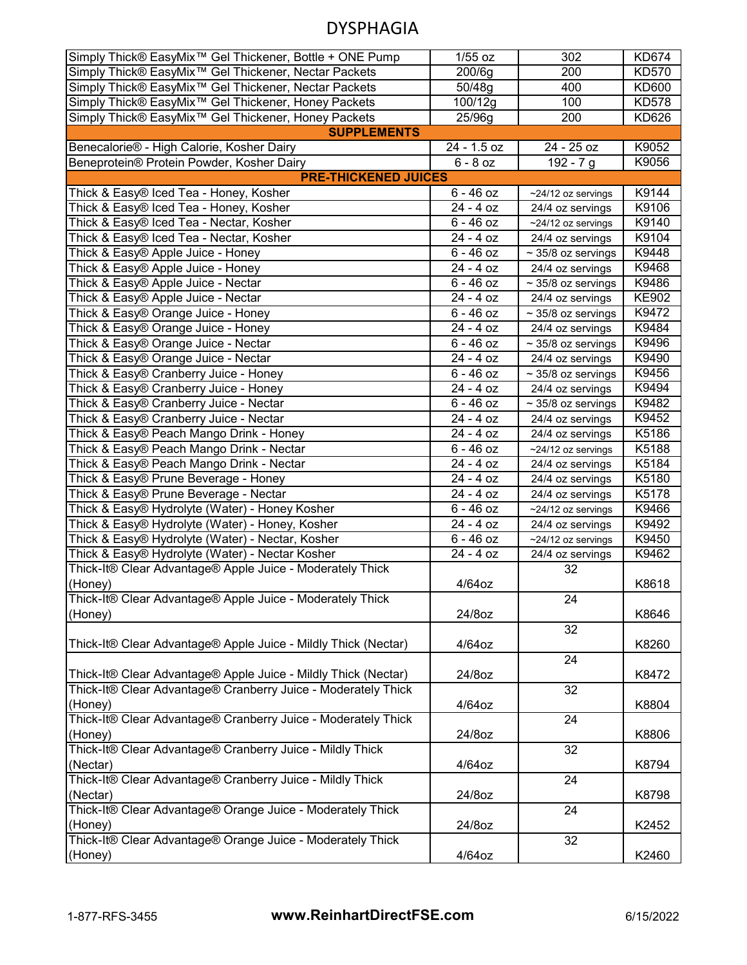| Simply Thick® EasyMix <sup>™</sup> Gel Thickener, Bottle + ONE Pump | $1/55$ oz              | 302                     | <b>KD674</b> |
|---------------------------------------------------------------------|------------------------|-------------------------|--------------|
| Simply Thick® EasyMix <sup>™</sup> Gel Thickener, Nectar Packets    | 200/6g                 | 200                     | <b>KD570</b> |
| Simply Thick® EasyMix <sup>™</sup> Gel Thickener, Nectar Packets    | 50/48g                 | 400                     | KD600        |
| Simply Thick® EasyMix <sup>™</sup> Gel Thickener, Honey Packets     | 100/12g                | 100                     | <b>KD578</b> |
| Simply Thick® EasyMix <sup>™</sup> Gel Thickener, Honey Packets     | 25/96g                 | 200                     | KD626        |
| <b>SUPPLEMENTS</b>                                                  |                        |                         |              |
| Benecalorie® - High Calorie, Kosher Dairy                           | 24 - 1.5 oz            | 24 - 25 oz              | K9052        |
| Beneprotein® Protein Powder, Kosher Dairy                           | $6 - 8$ oz             | $192 - 7g$              | K9056        |
| <b>PRE-THICKENED JUICES</b>                                         |                        |                         |              |
| Thick & Easy® Iced Tea - Honey, Kosher                              | $6 - 46$ oz            | ~24/12 oz servings      | K9144        |
| Thick & Easy® Iced Tea - Honey, Kosher                              | 24 - 4 oz              | 24/4 oz servings        | K9106        |
| Thick & Easy® Iced Tea - Nectar, Kosher                             | $6 - 46$ oz            | ~24/12 oz servings      | K9140        |
| Thick & Easy® Iced Tea - Nectar, Kosher                             | 24 - 4 oz              | 24/4 oz servings        | K9104        |
| Thick & Easy® Apple Juice - Honey                                   | $6 - 46$ oz            | $\sim$ 35/8 oz servings | K9448        |
| Thick & Easy® Apple Juice - Honey                                   | 24 - 4 oz              | 24/4 oz servings        | K9468        |
| Thick & Easy® Apple Juice - Nectar                                  | $6 - 46$ oz            | $\sim$ 35/8 oz servings | K9486        |
| Thick & Easy® Apple Juice - Nectar                                  | 24 - 4 oz              | 24/4 oz servings        | <b>KE902</b> |
| Thick & Easy® Orange Juice - Honey                                  | $6 - 46$ oz            | $\sim$ 35/8 oz servings | K9472        |
| Thick & Easy® Orange Juice - Honey                                  | 24 - 4 oz              | 24/4 oz servings        | K9484        |
| Thick & Easy® Orange Juice - Nectar                                 | $6 - 46$ oz            | $\sim$ 35/8 oz servings | K9496        |
| Thick & Easy® Orange Juice - Nectar                                 | 24 - 4 oz              | 24/4 oz servings        | K9490        |
| Thick & Easy® Cranberry Juice - Honey                               | $6 - 46$ oz            | $\sim$ 35/8 oz servings | K9456        |
| Thick & Easy® Cranberry Juice - Honey                               | 24 - 4 oz              | 24/4 oz servings        | K9494        |
| Thick & Easy® Cranberry Juice - Nectar                              | $\overline{6}$ - 46 oz | $\sim$ 35/8 oz servings | K9482        |
| Thick & Easy® Cranberry Juice - Nectar                              | 24 - 4 oz              | 24/4 oz servings        | K9452        |
| Thick & Easy® Peach Mango Drink - Honey                             | 24 - 4 oz              | 24/4 oz servings        | K5186        |
| Thick & Easy® Peach Mango Drink - Nectar                            | $6 - 46$ oz            | ~24/12 oz servings      | K5188        |
| Thick & Easy® Peach Mango Drink - Nectar                            | 24 - 4 oz              | 24/4 oz servings        | K5184        |
| Thick & Easy® Prune Beverage - Honey                                | 24 - 4 oz              | 24/4 oz servings        | K5180        |
| Thick & Easy® Prune Beverage - Nectar                               | 24 - 4 oz              | 24/4 oz servings        | K5178        |
| Thick & Easy® Hydrolyte (Water) - Honey Kosher                      | $6 - 46$ oz            | ~24/12 oz servings      | K9466        |
| Thick & Easy® Hydrolyte (Water) - Honey, Kosher                     | 24 - 4 oz              | 24/4 oz servings        | K9492        |
| Thick & Easy® Hydrolyte (Water) - Nectar, Kosher                    | $6 - 46$ oz            | ~24/12 oz servings      | K9450        |
| Thick & Easy® Hydrolyte (Water) - Nectar Kosher                     | 24 - 4 oz              | 24/4 oz servings        | K9462        |
| Thick-It® Clear Advantage® Apple Juice - Moderately Thick           |                        | 32                      |              |
| (Honey)                                                             | 4/64oz                 |                         | K8618        |
| Thick-It® Clear Advantage® Apple Juice - Moderately Thick           |                        | 24                      |              |
| (Honey)                                                             | 24/8oz                 |                         | K8646        |
|                                                                     |                        | 32                      |              |
| Thick-It® Clear Advantage® Apple Juice - Mildly Thick (Nectar)      | 4/64oz                 |                         | K8260        |
|                                                                     |                        | $\overline{24}$         |              |
| Thick-It® Clear Advantage® Apple Juice - Mildly Thick (Nectar)      | 24/8oz                 |                         | K8472        |
| Thick-It® Clear Advantage® Cranberry Juice - Moderately Thick       |                        | 32                      |              |
| (Honey)                                                             | $4/64$ oz              |                         | K8804        |
| Thick-It® Clear Advantage® Cranberry Juice - Moderately Thick       |                        | 24                      |              |
| (Honey)                                                             | 24/8oz                 |                         | K8806        |
| Thick-It® Clear Advantage® Cranberry Juice - Mildly Thick           |                        | 32                      |              |
| (Nectar)                                                            | $4/64$ oz              |                         | K8794        |
| Thick-It® Clear Advantage® Cranberry Juice - Mildly Thick           |                        | 24                      |              |
| (Nectar)                                                            | 24/8oz                 |                         | K8798        |
| Thick-It® Clear Advantage® Orange Juice - Moderately Thick          |                        | 24                      |              |
| (Honey)                                                             | 24/8oz                 |                         | K2452        |
| Thick-It® Clear Advantage® Orange Juice - Moderately Thick          |                        | 32                      |              |
| (Honey)                                                             | 4/64oz                 |                         | K2460        |